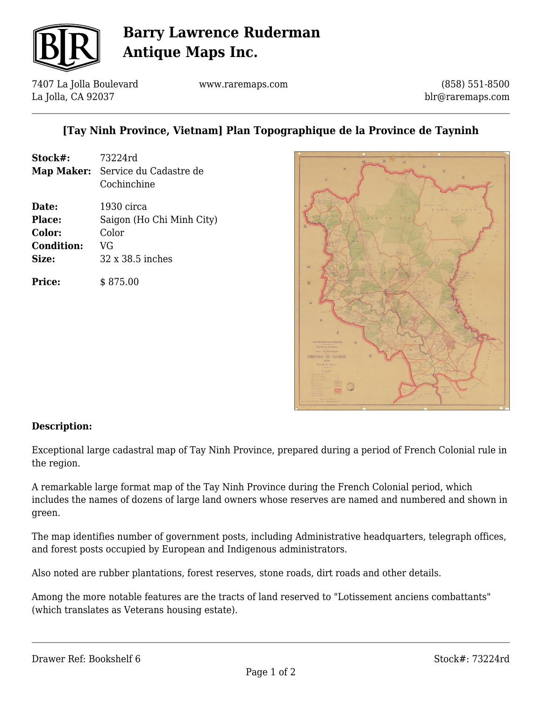

# **Barry Lawrence Ruderman Antique Maps Inc.**

7407 La Jolla Boulevard La Jolla, CA 92037

www.raremaps.com

(858) 551-8500 blr@raremaps.com

## **[Tay Ninh Province, Vietnam] Plan Topographique de la Province de Tayninh**

**Stock#:** 73224rd **Map Maker:** Service du Cadastre de Cochinchine **Date:** 1930 circa **Place:** Saigon (Ho Chi Minh City) **Color:** Color **Condition:** VG **Size:** 32 x 38.5 inches

**Price:**  $$875.00$ 



#### **Description:**

Exceptional large cadastral map of Tay Ninh Province, prepared during a period of French Colonial rule in the region.

A remarkable large format map of the Tay Ninh Province during the French Colonial period, which includes the names of dozens of large land owners whose reserves are named and numbered and shown in green.

The map identifies number of government posts, including Administrative headquarters, telegraph offices, and forest posts occupied by European and Indigenous administrators.

Also noted are rubber plantations, forest reserves, stone roads, dirt roads and other details.

Among the more notable features are the tracts of land reserved to "Lotissement anciens combattants" (which translates as Veterans housing estate).